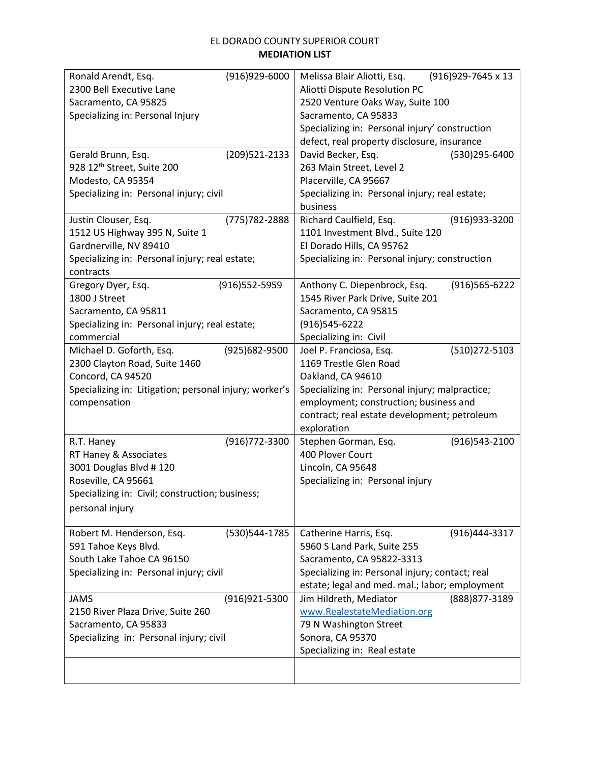## EL DORADO COUNTY SUPERIOR COURT **MEDIATION LIST**

| (916)929-6000<br>Ronald Arendt, Esq.                                | Melissa Blair Aliotti, Esq.<br>$(916)929 - 7645 \times 13$ |  |
|---------------------------------------------------------------------|------------------------------------------------------------|--|
| 2300 Bell Executive Lane                                            | Aliotti Dispute Resolution PC                              |  |
| Sacramento, CA 95825                                                | 2520 Venture Oaks Way, Suite 100                           |  |
| Specializing in: Personal Injury                                    | Sacramento, CA 95833                                       |  |
|                                                                     | Specializing in: Personal injury' construction             |  |
|                                                                     | defect, real property disclosure, insurance                |  |
| (209) 521 - 2133<br>Gerald Brunn, Esq.                              | (530)295-6400<br>David Becker, Esq.                        |  |
| 928 12 <sup>th</sup> Street, Suite 200                              | 263 Main Street, Level 2                                   |  |
| Modesto, CA 95354                                                   | Placerville, CA 95667                                      |  |
| Specializing in: Personal injury; civil                             | Specializing in: Personal injury; real estate;             |  |
|                                                                     | business                                                   |  |
| (775) 782-2888<br>Justin Clouser, Esq.                              | (916) 933-3200<br>Richard Caulfield, Esq.                  |  |
| 1512 US Highway 395 N, Suite 1                                      | 1101 Investment Blvd., Suite 120                           |  |
| Gardnerville, NV 89410                                              | El Dorado Hills, CA 95762                                  |  |
| Specializing in: Personal injury; real estate;                      | Specializing in: Personal injury; construction             |  |
| contracts                                                           |                                                            |  |
| (916) 552-5959<br>Gregory Dyer, Esq.                                | $(916)565 - 6222$<br>Anthony C. Diepenbrock, Esq.          |  |
| 1800 J Street                                                       | 1545 River Park Drive, Suite 201                           |  |
| Sacramento, CA 95811                                                | Sacramento, CA 95815                                       |  |
| Specializing in: Personal injury; real estate;                      | $(916)$ 545-6222                                           |  |
| commercial                                                          | Specializing in: Civil                                     |  |
| (925) 682-9500<br>Michael D. Goforth, Esq.                          | Joel P. Franciosa, Esq.<br>(510) 272-5103                  |  |
| 2300 Clayton Road, Suite 1460                                       | 1169 Trestle Glen Road                                     |  |
| Concord, CA 94520                                                   | Oakland, CA 94610                                          |  |
| Specializing in: Litigation; personal injury; worker's              | Specializing in: Personal injury; malpractice;             |  |
| compensation                                                        | employment; construction; business and                     |  |
|                                                                     | contract; real estate development; petroleum               |  |
|                                                                     | exploration                                                |  |
| R.T. Haney<br>(916) 772-3300                                        | (916)543-2100<br>Stephen Gorman, Esq.                      |  |
| RT Haney & Associates                                               | 400 Plover Court                                           |  |
| 3001 Douglas Blvd #120                                              | Lincoln, CA 95648                                          |  |
| Roseville, CA 95661                                                 | Specializing in: Personal injury                           |  |
| Specializing in: Civil; construction; business;                     |                                                            |  |
| personal injury                                                     |                                                            |  |
|                                                                     | Catherine Harris, Esq.                                     |  |
| Robert M. Henderson, Esq.<br>(530) 544-1785<br>591 Tahoe Keys Blvd. | (916)444-3317<br>5960 S Land Park, Suite 255               |  |
| South Lake Tahoe CA 96150                                           | Sacramento, CA 95822-3313                                  |  |
| Specializing in: Personal injury; civil                             | Specializing in: Personal injury; contact; real            |  |
|                                                                     | estate; legal and med. mal.; labor; employment             |  |
| (916)921-5300<br><b>JAMS</b>                                        | Jim Hildreth, Mediator<br>(888) 877-3189                   |  |
| 2150 River Plaza Drive, Suite 260                                   | www.RealestateMediation.org                                |  |
| Sacramento, CA 95833                                                | 79 N Washington Street                                     |  |
| Specializing in: Personal injury; civil                             | Sonora, CA 95370                                           |  |
|                                                                     | Specializing in: Real estate                               |  |
|                                                                     |                                                            |  |
|                                                                     |                                                            |  |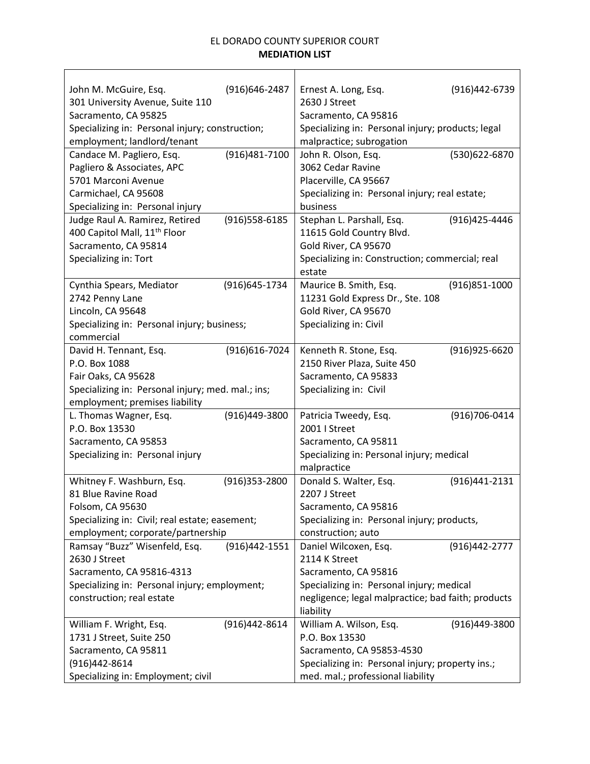## EL DORADO COUNTY SUPERIOR COURT **MEDIATION LIST**

| John M. McGuire, Esq.                             | (916) 646-2487   | Ernest A. Long, Esq.                                            | (916)442-6739   |
|---------------------------------------------------|------------------|-----------------------------------------------------------------|-----------------|
| 301 University Avenue, Suite 110                  |                  | 2630 J Street                                                   |                 |
| Sacramento, CA 95825                              |                  | Sacramento, CA 95816                                            |                 |
| Specializing in: Personal injury; construction;   |                  | Specializing in: Personal injury; products; legal               |                 |
| employment; landlord/tenant                       |                  | malpractice; subrogation                                        |                 |
| Candace M. Pagliero, Esq.                         | (916)481-7100    | John R. Olson, Esq.                                             | (530) 622-6870  |
| Pagliero & Associates, APC                        |                  | 3062 Cedar Ravine                                               |                 |
| 5701 Marconi Avenue                               |                  | Placerville, CA 95667                                           |                 |
| Carmichael, CA 95608                              |                  | Specializing in: Personal injury; real estate;                  |                 |
| Specializing in: Personal injury                  |                  | business                                                        |                 |
| Judge Raul A. Ramirez, Retired                    | $(916)$ 558-6185 | Stephan L. Parshall, Esq.                                       | (916)425-4446   |
| 400 Capitol Mall, 11 <sup>th</sup> Floor          |                  | 11615 Gold Country Blvd.                                        |                 |
| Sacramento, CA 95814                              |                  | Gold River, CA 95670                                            |                 |
| Specializing in: Tort                             |                  | Specializing in: Construction; commercial; real                 |                 |
|                                                   |                  | estate                                                          |                 |
| Cynthia Spears, Mediator                          | (916) 645-1734   | Maurice B. Smith, Esq.                                          | $(916)851-1000$ |
| 2742 Penny Lane                                   |                  | 11231 Gold Express Dr., Ste. 108                                |                 |
| Lincoln, CA 95648                                 |                  | Gold River, CA 95670                                            |                 |
| Specializing in: Personal injury; business;       |                  | Specializing in: Civil                                          |                 |
| commercial                                        |                  |                                                                 |                 |
| David H. Tennant, Esq.                            | (916) 616-7024   | Kenneth R. Stone, Esq.                                          | (916) 925-6620  |
| P.O. Box 1088                                     |                  | 2150 River Plaza, Suite 450                                     |                 |
| Fair Oaks, CA 95628                               |                  | Sacramento, CA 95833                                            |                 |
| Specializing in: Personal injury; med. mal.; ins; |                  | Specializing in: Civil                                          |                 |
| employment; premises liability                    |                  |                                                                 |                 |
| L. Thomas Wagner, Esq.                            | (916)449-3800    | Patricia Tweedy, Esq.                                           | (916) 706-0414  |
| P.O. Box 13530                                    |                  | 2001   Street                                                   |                 |
| Sacramento, CA 95853                              |                  | Sacramento, CA 95811                                            |                 |
| Specializing in: Personal injury                  |                  | Specializing in: Personal injury; medical                       |                 |
|                                                   |                  | malpractice                                                     |                 |
| Whitney F. Washburn, Esq.                         | (916)353-2800    | Donald S. Walter, Esq.                                          | (916)441-2131   |
| 81 Blue Ravine Road                               |                  | 2207 J Street                                                   |                 |
| Folsom, CA 95630                                  |                  | Sacramento, CA 95816                                            |                 |
| Specializing in: Civil; real estate; easement;    |                  | Specializing in: Personal injury; products,                     |                 |
| employment; corporate/partnership                 |                  | construction; auto                                              |                 |
| Ramsay "Buzz" Wisenfeld, Esq.                     | (916) 442-1551   | Daniel Wilcoxen, Esq.                                           | (916) 442-2777  |
| 2630 J Street                                     |                  | 2114 K Street                                                   |                 |
| Sacramento, CA 95816-4313                         |                  | Sacramento, CA 95816                                            |                 |
| Specializing in: Personal injury; employment;     |                  | Specializing in: Personal injury; medical                       |                 |
| construction; real estate                         |                  | negligence; legal malpractice; bad faith; products<br>liability |                 |
| William F. Wright, Esq.                           | (916)442-8614    | William A. Wilson, Esq.                                         | (916)449-3800   |
| 1731 J Street, Suite 250                          |                  | P.O. Box 13530                                                  |                 |
| Sacramento, CA 95811                              |                  | Sacramento, CA 95853-4530                                       |                 |
| (916)442-8614                                     |                  | Specializing in: Personal injury; property ins.;                |                 |
| Specializing in: Employment; civil                |                  | med. mal.; professional liability                               |                 |
|                                                   |                  |                                                                 |                 |